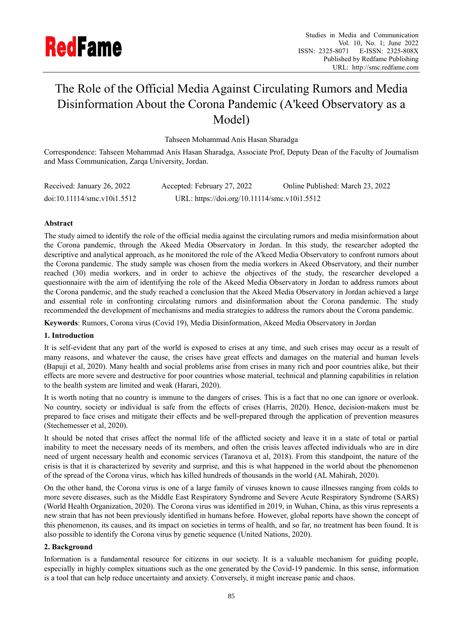

# The Role of the Official Media Against Circulating Rumors and Media Disinformation About the Corona Pandemic (A'keed Observatory as a Model)

Tahseen Mohammad Anis Hasan Sharadga

Correspondence: Tahseen Mohammad Anis Hasan Sharadga, Associate Prof, Deputy Dean of the Faculty of Journalism and Mass Communication, Zarqa University, Jordan.

| Received: January 26, 2022  | Accepted: February 27, 2022                  | Online Published: March 23, 2022 |
|-----------------------------|----------------------------------------------|----------------------------------|
| doi:10.11114/smc.v10i1.5512 | URL: https://doi.org/10.11114/smc.v10i1.5512 |                                  |

# **Abstract**

The study aimed to identify the role of the official media against the circulating rumors and media misinformation about the Corona pandemic, through the Akeed Media Observatory in Jordan. In this study, the researcher adopted the descriptive and analytical approach, as he monitored the role of the A'keed Media Observatory to confront rumors about the Corona pandemic. The study sample was chosen from the media workers in Akeed Observatory, and their number reached (30) media workers, and in order to achieve the objectives of the study, the researcher developed a questionnaire with the aim of identifying the role of the Akeed Media Observatory in Jordan to address rumors about the Corona pandemic, and the study reached a conclusion that the Akeed Media Observatory in Jordan achieved a large and essential role in confronting circulating rumors and disinformation about the Corona pandemic. The study recommended the development of mechanisms and media strategies to address the rumors about the Corona pandemic.

**Keywords**: Rumors, Corona virus (Covid 19), Media Disinformation, Akeed Media Observatory in Jordan

## **1. Introduction**

It is self-evident that any part of the world is exposed to crises at any time, and such crises may occur as a result of many reasons, and whatever the cause, the crises have great effects and damages on the material and human levels (Bapuji et al, 2020). Many health and social problems arise from crises in many rich and poor countries alike, but their effects are more severe and destructive for poor countries whose material, technical and planning capabilities in relation to the health system are limited and weak (Harari, 2020).

It is worth noting that no country is immune to the dangers of crises. This is a fact that no one can ignore or overlook. No country, society or individual is safe from the effects of crises (Harris, 2020). Hence, decision-makers must be prepared to face crises and mitigate their effects and be well-prepared through the application of prevention measures (Stechemesser et al, 2020).

It should be noted that crises affect the normal life of the afflicted society and leave it in a state of total or partial inability to meet the necessary needs of its members, and often the crisis leaves affected individuals who are in dire need of urgent necessary health and economic services (Taranova et al, 2018). From this standpoint, the nature of the crisis is that it is characterized by severity and surprise, and this is what happened in the world about the phenomenon of the spread of the Corona virus, which has killed hundreds of thousands in the world (AL Mahirah, 2020).

On the other hand, the Corona virus is one of a large family of viruses known to cause illnesses ranging from colds to more severe diseases, such as the Middle East Respiratory Syndrome and Severe Acute Respiratory Syndrome (SARS) (World Health Organization, 2020). The Corona virus was identified in 2019, in Wuhan, China, as this virus represents a new strain that has not been previously identified in humans before. However, global reports have shown the concept of this phenomenon, its causes, and its impact on societies in terms of health, and so far, no treatment has been found. It is also possible to identify the Corona virus by genetic sequence (United Nations, 2020).

## **2. Background**

Information is a fundamental resource for citizens in our society. It is a valuable mechanism for guiding people, especially in highly complex situations such as the one generated by the Covid-19 pandemic. In this sense, information is a tool that can help reduce uncertainty and anxiety. Conversely, it might increase panic and chaos.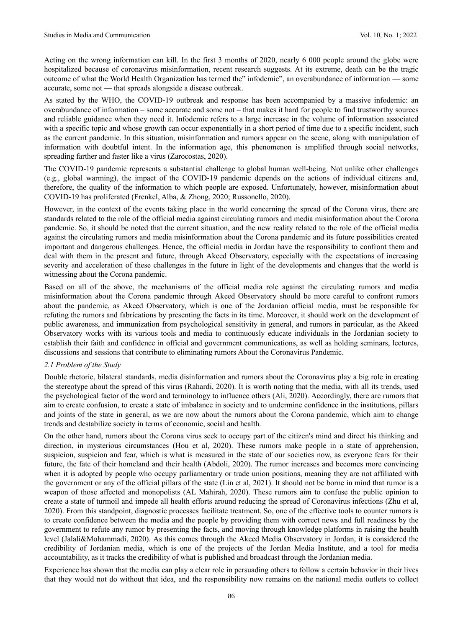Acting on the wrong information can kill. In the first 3 months of 2020, nearly 6 000 people around the globe were hospitalized because of coronavirus misinformation, recent research suggests. At its extreme, death can be the tragic outcome of what the World Health Organization has termed the" infodemic", an overabundance of information — some accurate, some not — that spreads alongside a disease outbreak.

As stated by the WHO, the COVID-19 outbreak and response has been accompanied by a massive infodemic: an overabundance of information – some accurate and some not – that makes it hard for people to find trustworthy sources and reliable guidance when they need it. Infodemic refers to a large increase in the volume of information associated with a specific topic and whose growth can occur exponentially in a short period of time due to a specific incident, such as the current pandemic. In this situation, misinformation and rumors appear on the scene, along with manipulation of information with doubtful intent. In the information age, this phenomenon is amplified through social networks, spreading farther and faster like a virus (Zarocostas, 2020).

The COVID-19 pandemic represents a substantial challenge to global human well-being. Not unlike other challenges (e.g., global warming), the impact of the COVID-19 pandemic depends on the actions of individual citizens and, therefore, the quality of the information to which people are exposed. Unfortunately, however, misinformation about COVID-19 has proliferated (Frenkel, Alba, & Zhong, 2020; Russonello, 2020).

However, in the context of the events taking place in the world concerning the spread of the Corona virus, there are standards related to the role of the official media against circulating rumors and media misinformation about the Corona pandemic. So, it should be noted that the current situation, and the new reality related to the role of the official media against the circulating rumors and media misinformation about the Corona pandemic and its future possibilities created important and dangerous challenges. Hence, the official media in Jordan have the responsibility to confront them and deal with them in the present and future, through Akeed Observatory, especially with the expectations of increasing severity and acceleration of these challenges in the future in light of the developments and changes that the world is witnessing about the Corona pandemic.

Based on all of the above, the mechanisms of the official media role against the circulating rumors and media misinformation about the Corona pandemic through Akeed Observatory should be more careful to confront rumors about the pandemic, as Akeed Observatory, which is one of the Jordanian official media, must be responsible for refuting the rumors and fabrications by presenting the facts in its time. Moreover, it should work on the development of public awareness, and immunization from psychological sensitivity in general, and rumors in particular, as the Akeed Observatory works with its various tools and media to continuously educate individuals in the Jordanian society to establish their faith and confidence in official and government communications, as well as holding seminars, lectures, discussions and sessions that contribute to eliminating rumors About the Coronavirus Pandemic.

## *2.1 Problem of the Study*

Double rhetoric, bilateral standards, media disinformation and rumors about the Coronavirus play a big role in creating the stereotype about the spread of this virus (Rahardi, 2020). It is worth noting that the media, with all its trends, used the psychological factor of the word and terminology to influence others (Ali, 2020). Accordingly, there are rumors that aim to create confusion, to create a state of imbalance in society and to undermine confidence in the institutions, pillars and joints of the state in general, as we are now about the rumors about the Corona pandemic, which aim to change trends and destabilize society in terms of economic, social and health.

On the other hand, rumors about the Corona virus seek to occupy part of the citizen's mind and direct his thinking and direction, in mysterious circumstances (Hou et al, 2020). These rumors make people in a state of apprehension, suspicion, suspicion and fear, which is what is measured in the state of our societies now, as everyone fears for their future, the fate of their homeland and their health (Abdoli, 2020). The rumor increases and becomes more convincing when it is adopted by people who occupy parliamentary or trade union positions, meaning they are not affiliated with the government or any of the official pillars of the state (Lin et al, 2021). It should not be borne in mind that rumor is a weapon of those affected and monopolists (AL Mahirah, 2020). These rumors aim to confuse the public opinion to create a state of turmoil and impede all health efforts around reducing the spread of Coronavirus infections (Zhu et al, 2020). From this standpoint, diagnostic processes facilitate treatment. So, one of the effective tools to counter rumors is to create confidence between the media and the people by providing them with correct news and full readiness by the government to refute any rumor by presenting the facts, and moving through knowledge platforms in raising the health level (Jalali&Mohammadi, 2020). As this comes through the Akeed Media Observatory in Jordan, it is considered the credibility of Jordanian media, which is one of the projects of the Jordan Media Institute, and a tool for media accountability, as it tracks the credibility of what is published and broadcast through the Jordanian media.

Experience has shown that the media can play a clear role in persuading others to follow a certain behavior in their lives that they would not do without that idea, and the responsibility now remains on the national media outlets to collect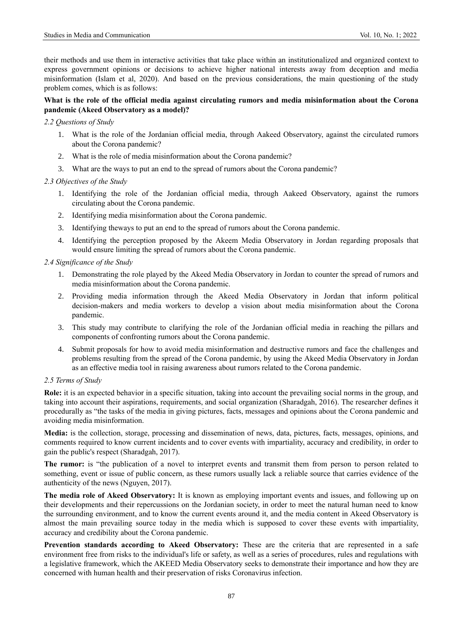their methods and use them in interactive activities that take place within an institutionalized and organized context to express government opinions or decisions to achieve higher national interests away from deception and media misinformation (Islam et al, 2020). And based on the previous considerations, the main questioning of the study problem comes, which is as follows:

# **What is the role of the official media against circulating rumors and media misinformation about the Corona pandemic (Akeed Observatory as a model)?**

#### *2.2 Questions of Study*

- 1. What is the role of the Jordanian official media, through Aakeed Observatory, against the circulated rumors about the Corona pandemic?
- 2. What is the role of media misinformation about the Corona pandemic?
- 3. What are the ways to put an end to the spread of rumors about the Corona pandemic?

## *2.3 Objectives of the Study*

- 1. Identifying the role of the Jordanian official media, through Aakeed Observatory, against the rumors circulating about the Corona pandemic.
- 2. Identifying media misinformation about the Corona pandemic.
- 3. Identifying theways to put an end to the spread of rumors about the Corona pandemic.
- 4. Identifying the perception proposed by the Akeem Media Observatory in Jordan regarding proposals that would ensure limiting the spread of rumors about the Corona pandemic.

#### *2.4 Significance of the Study*

- 1. Demonstrating the role played by the Akeed Media Observatory in Jordan to counter the spread of rumors and media misinformation about the Corona pandemic.
- 2. Providing media information through the Akeed Media Observatory in Jordan that inform political decision-makers and media workers to develop a vision about media misinformation about the Corona pandemic.
- 3. This study may contribute to clarifying the role of the Jordanian official media in reaching the pillars and components of confronting rumors about the Corona pandemic.
- 4. Submit proposals for how to avoid media misinformation and destructive rumors and face the challenges and problems resulting from the spread of the Corona pandemic, by using the Akeed Media Observatory in Jordan as an effective media tool in raising awareness about rumors related to the Corona pandemic.

## *2.5 Terms of Study*

**Role:** it is an expected behavior in a specific situation, taking into account the prevailing social norms in the group, and taking into account their aspirations, requirements, and social organization (Sharadgah, 2016). The researcher defines it procedurally as "the tasks of the media in giving pictures, facts, messages and opinions about the Corona pandemic and avoiding media misinformation.

**Media:** is the collection, storage, processing and dissemination of news, data, pictures, facts, messages, opinions, and comments required to know current incidents and to cover events with impartiality, accuracy and credibility, in order to gain the public's respect (Sharadgah, 2017).

**The rumor:** is "the publication of a novel to interpret events and transmit them from person to person related to something, event or issue of public concern, as these rumors usually lack a reliable source that carries evidence of the authenticity of the news (Nguyen, 2017).

**The media role of Akeed Observatory:** It is known as employing important events and issues, and following up on their developments and their repercussions on the Jordanian society, in order to meet the natural human need to know the surrounding environment, and to know the current events around it, and the media content in Akeed Observatory is almost the main prevailing source today in the media which is supposed to cover these events with impartiality, accuracy and credibility about the Corona pandemic.

**Prevention standards according to Akeed Observatory:** These are the criteria that are represented in a safe environment free from risks to the individual's life or safety, as well as a series of procedures, rules and regulations with a legislative framework, which the AKEED Media Observatory seeks to demonstrate their importance and how they are concerned with human health and their preservation of risks Coronavirus infection.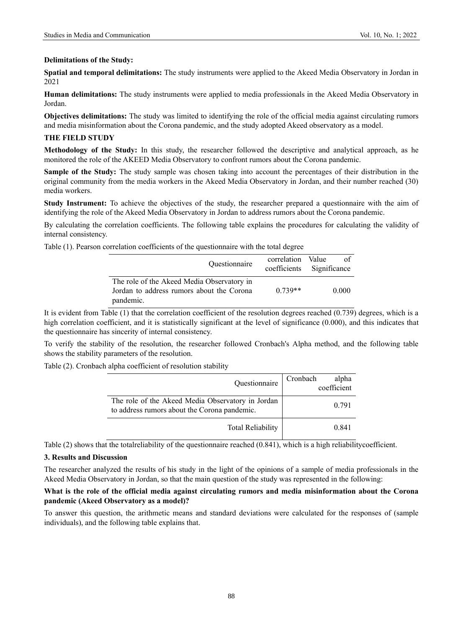#### **Delimitations of the Study:**

**Spatial and temporal delimitations:** The study instruments were applied to the Akeed Media Observatory in Jordan in 2021

**Human delimitations:** The study instruments were applied to media professionals in the Akeed Media Observatory in Jordan.

**Objectives delimitations:** The study was limited to identifying the role of the official media against circulating rumors and media misinformation about the Corona pandemic, and the study adopted Akeed observatory as a model.

# **THE FIELD STUDY**

**Methodology of the Study:** In this study, the researcher followed the descriptive and analytical approach, as he monitored the role of the AKEED Media Observatory to confront rumors about the Corona pandemic.

**Sample of the Study:** The study sample was chosen taking into account the percentages of their distribution in the original community from the media workers in the Akeed Media Observatory in Jordan, and their number reached (30) media workers.

**Study Instrument:** To achieve the objectives of the study, the researcher prepared a questionnaire with the aim of identifying the role of the Akeed Media Observatory in Jordan to address rumors about the Corona pandemic.

By calculating the correlation coefficients. The following table explains the procedures for calculating the validity of internal consistency.

Table (1). Pearson correlation coefficients of the questionnaire with the total degree

| Questionnaire                                                                                        | correlation Value | ് വ<br>coefficients Significance |
|------------------------------------------------------------------------------------------------------|-------------------|----------------------------------|
| The role of the Akeed Media Observatory in<br>Jordan to address rumors about the Corona<br>pandemic. | $0.739**$         | 0.000                            |

It is evident from Table (1) that the correlation coefficient of the resolution degrees reached (0.739) degrees, which is a high correlation coefficient, and it is statistically significant at the level of significance (0.000), and this indicates that the questionnaire has sincerity of internal consistency.

To verify the stability of the resolution, the researcher followed Cronbach's Alpha method, and the following table shows the stability parameters of the resolution.

Table (2). Cronbach alpha coefficient of resolution stability

| Questionnaire                                                                                     | Cronbach<br>alpha<br>coefficient |
|---------------------------------------------------------------------------------------------------|----------------------------------|
| The role of the Akeed Media Observatory in Jordan<br>to address rumors about the Corona pandemic. | 0.791                            |
| <b>Total Reliability</b>                                                                          | 0.841                            |

Table (2) shows that the totalreliability of the questionnaire reached (0.841), which is a high reliabilitycoefficient.

## **3. Results and Discussion**

The researcher analyzed the results of his study in the light of the opinions of a sample of media professionals in the Akeed Media Observatory in Jordan, so that the main question of the study was represented in the following:

## **What is the role of the official media against circulating rumors and media misinformation about the Corona pandemic (Akeed Observatory as a model)?**

To answer this question, the arithmetic means and standard deviations were calculated for the responses of (sample individuals), and the following table explains that.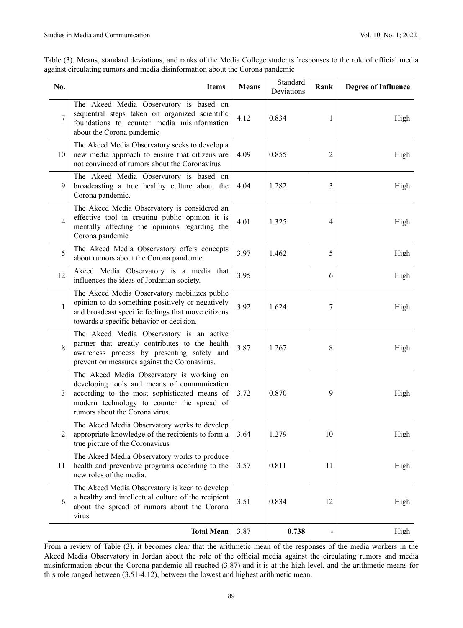| Table (3). Means, standard deviations, and ranks of the Media College students 'responses to the role of official media |  |
|-------------------------------------------------------------------------------------------------------------------------|--|
| against circulating rumors and media disinformation about the Corona pandemic                                           |  |

| No.            | <b>Items</b>                                                                                                                                                                                                             | <b>Means</b> | Standard<br>Deviations | Rank           | <b>Degree of Influence</b> |
|----------------|--------------------------------------------------------------------------------------------------------------------------------------------------------------------------------------------------------------------------|--------------|------------------------|----------------|----------------------------|
| 7              | The Akeed Media Observatory is based on<br>sequential steps taken on organized scientific<br>foundations to counter media misinformation<br>about the Corona pandemic                                                    | 4.12         | 0.834                  | 1              | High                       |
| 10             | The Akeed Media Observatory seeks to develop a<br>new media approach to ensure that citizens are<br>not convinced of rumors about the Coronavirus                                                                        | 4.09         | 0.855                  | $\overline{2}$ | High                       |
| 9              | The Akeed Media Observatory is based on<br>broadcasting a true healthy culture about the<br>Corona pandemic.                                                                                                             | 4.04         | 1.282                  | 3              | High                       |
| $\overline{4}$ | The Akeed Media Observatory is considered an<br>effective tool in creating public opinion it is<br>mentally affecting the opinions regarding the<br>Corona pandemic                                                      | 4.01         | 1.325                  | $\overline{4}$ | High                       |
| 5              | The Akeed Media Observatory offers concepts<br>about rumors about the Corona pandemic                                                                                                                                    | 3.97         | 1.462                  | 5              | High                       |
| 12             | Akeed Media Observatory is a media that<br>influences the ideas of Jordanian society.                                                                                                                                    | 3.95         |                        | 6              | High                       |
| $\mathbf{1}$   | The Akeed Media Observatory mobilizes public<br>opinion to do something positively or negatively<br>and broadcast specific feelings that move citizens<br>towards a specific behavior or decision.                       | 3.92         | 1.624                  | 7              | High                       |
| 8              | The Akeed Media Observatory is an active<br>partner that greatly contributes to the health<br>awareness process by presenting safety and<br>prevention measures against the Coronavirus.                                 | 3.87         | 1.267                  | 8              | High                       |
| 3              | The Akeed Media Observatory is working on<br>developing tools and means of communication<br>according to the most sophisticated means of<br>modern technology to counter the spread of<br>rumors about the Corona virus. | 3.72         | 0.870                  | 9              | High                       |
| 2              | The Akeed Media Observatory works to develop<br>appropriate knowledge of the recipients to form a<br>true picture of the Coronavirus                                                                                     | 3.64         | 1.279                  | 10             | High                       |
| 11             | The Akeed Media Observatory works to produce<br>health and preventive programs according to the<br>new roles of the media.                                                                                               | 3.57         | 0.811                  | 11             | High                       |
| 6              | The Akeed Media Observatory is keen to develop<br>a healthy and intellectual culture of the recipient<br>about the spread of rumors about the Corona<br>virus                                                            | 3.51         | 0.834                  | 12             | High                       |
|                | <b>Total Mean</b>                                                                                                                                                                                                        | 3.87         | 0.738                  |                | High                       |

From a review of Table (3), it becomes clear that the arithmetic mean of the responses of the media workers in the Akeed Media Observatory in Jordan about the role of the official media against the circulating rumors and media misinformation about the Corona pandemic all reached (3.87) and it is at the high level, and the arithmetic means for this role ranged between (3.51-4.12), between the lowest and highest arithmetic mean.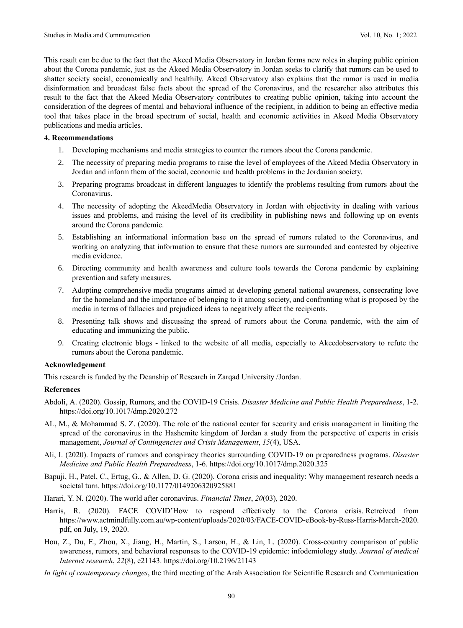This result can be due to the fact that the Akeed Media Observatory in Jordan forms new roles in shaping public opinion about the Corona pandemic, just as the Akeed Media Observatory in Jordan seeks to clarify that rumors can be used to shatter society social, economically and healthily. Akeed Observatory also explains that the rumor is used in media disinformation and broadcast false facts about the spread of the Coronavirus, and the researcher also attributes this result to the fact that the Akeed Media Observatory contributes to creating public opinion, taking into account the consideration of the degrees of mental and behavioral influence of the recipient, in addition to being an effective media tool that takes place in the broad spectrum of social, health and economic activities in Akeed Media Observatory publications and media articles.

#### **4. Recommendations**

- 1. Developing mechanisms and media strategies to counter the rumors about the Corona pandemic.
- 2. The necessity of preparing media programs to raise the level of employees of the Akeed Media Observatory in Jordan and inform them of the social, economic and health problems in the Jordanian society.
- 3. Preparing programs broadcast in different languages to identify the problems resulting from rumors about the Coronavirus.
- 4. The necessity of adopting the AkeedMedia Observatory in Jordan with objectivity in dealing with various issues and problems, and raising the level of its credibility in publishing news and following up on events around the Corona pandemic.
- 5. Establishing an informational information base on the spread of rumors related to the Coronavirus, and working on analyzing that information to ensure that these rumors are surrounded and contested by objective media evidence.
- 6. Directing community and health awareness and culture tools towards the Corona pandemic by explaining prevention and safety measures.
- 7. Adopting comprehensive media programs aimed at developing general national awareness, consecrating love for the homeland and the importance of belonging to it among society, and confronting what is proposed by the media in terms of fallacies and prejudiced ideas to negatively affect the recipients.
- 8. Presenting talk shows and discussing the spread of rumors about the Corona pandemic, with the aim of educating and immunizing the public.
- 9. Creating electronic blogs linked to the website of all media, especially to Akeedobservatory to refute the rumors about the Corona pandemic.

## **Acknowledgement**

This research is funded by the Deanship of Research in Zarqad University /Jordan.

# **References**

- Abdoli, A. (2020). Gossip, Rumors, and the COVID-19 Crisis. *Disaster Medicine and Public Health Preparedness*, 1-2. <https://doi.org/10.1017/dmp.2020.272>
- AL, M., & Mohammad S. Z. (2020). The role of the national center for security and crisis management in limiting the spread of the coronavirus in the Hashemite kingdom of Jordan a study from the perspective of experts in crisis management, *Journal of Contingencies and Crisis Management*, *15*(4), USA.
- Ali, I. (2020). Impacts of rumors and conspiracy theories surrounding COVID-19 on preparedness programs. *Disaster Medicine and Public Health Preparedness*, 1-6. <https://doi.org/10.1017/dmp.2020.325>
- Bapuji, H., Patel, C., Ertug, G., & Allen, D. G. (2020). Corona crisis and inequality: Why management research needs a societal turn. <https://doi.org/10.1177/0149206320925881>
- Harari, Y. N. (2020). The world after coronavirus. *Financial Times*, *20*(03), 2020.
- Harris, R. (2020). FACE COVID'How to respond effectively to the Corona crisis. Retreived from https://www.actmindfully.com.au/wp-content/uploads/2020/03/FACE-COVID-eBook-by-Russ-Harris-March-2020. pdf, on July, 19, 2020.
- Hou, Z., Du, F., Zhou, X., Jiang, H., Martin, S., Larson, H., & Lin, L. (2020). Cross-country comparison of public awareness, rumors, and behavioral responses to the COVID-19 epidemic: infodemiology study. *Journal of medical Internet research*, *22*(8), e21143. <https://doi.org/10.2196/21143>
- *In light of contemporary changes*, the third meeting of the Arab Association for Scientific Research and Communication